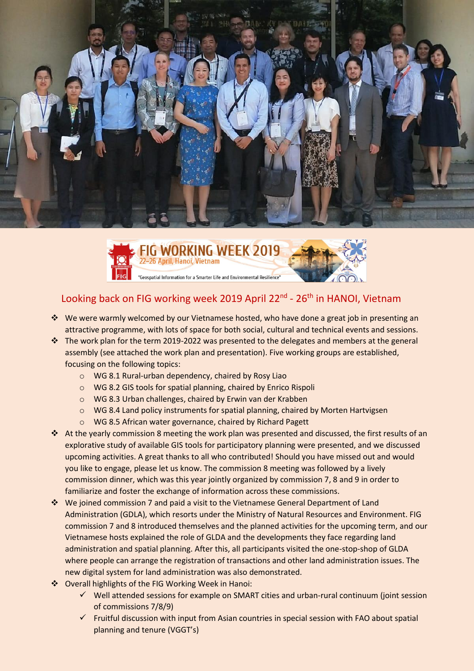



# Looking back on FIG working week 2019 April 22<sup>nd</sup> - 26<sup>th</sup> in HANOI, Vietnam

- \* We were warmly welcomed by our Vietnamese hosted, who have done a great job in presenting an attractive programme, with lots of space for both social, cultural and technical events and sessions.
- \* The work plan for the term 2019-2022 was presented to the delegates and members at the general assembly (see attached the work plan and presentation). Five working groups are established, focusing on the following topics:
	- o WG 8.1 Rural-urban dependency, chaired by Rosy Liao
	- o WG 8.2 GIS tools for spatial planning, chaired by Enrico Rispoli
	- o WG 8.3 Urban challenges, chaired by Erwin van der Krabben
	- o WG 8.4 Land policy instruments for spatial planning, chaired by Morten Hartvigsen
	- o WG 8.5 African water governance, chaired by Richard Pagett
- At the yearly commission 8 meeting the work plan was presented and discussed, the first results of an explorative study of available GIS tools for participatory planning were presented, and we discussed upcoming activities. A great thanks to all who contributed! Should you have missed out and would you like to engage, please let us know. The commission 8 meeting was followed by a lively commission dinner, which was this year jointly organized by commission 7, 8 and 9 in order to familiarize and foster the exchange of information across these commissions.
- We joined commission 7 and paid a visit to the Vietnamese General Department of Land Administration (GDLA), which resorts under the Ministry of Natural Resources and Environment. FIG commission 7 and 8 introduced themselves and the planned activities for the upcoming term, and our Vietnamese hosts explained the role of GLDA and the developments they face regarding land administration and spatial planning. After this, all participants visited the one-stop-shop of GLDA where people can arrange the registration of transactions and other land administration issues. The new digital system for land administration was also demonstrated.
- Overall highlights of the FIG Working Week in Hanoi:
	- $\checkmark$  Well attended sessions for example on SMART cities and urban-rural continuum (joint session of commissions 7/8/9)
	- $\checkmark$  Fruitful discussion with input from Asian countries in special session with FAO about spatial planning and tenure (VGGT's)